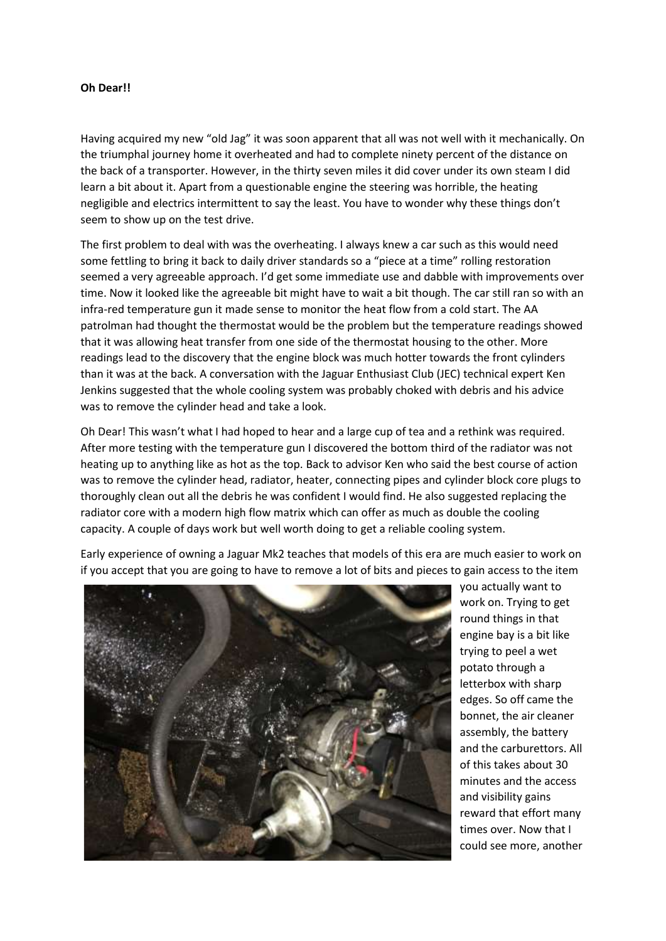## **Oh Dear!!**

Having acquired my new "old Jag" it was soon apparent that all was not well with it mechanically. On the triumphal journey home it overheated and had to complete ninety percent of the distance on the back of a transporter. However, in the thirty seven miles it did cover under its own steam I did learn a bit about it. Apart from a questionable engine the steering was horrible, the heating negligible and electrics intermittent to say the least. You have to wonder why these things don't seem to show up on the test drive.

The first problem to deal with was the overheating. I always knew a car such as this would need some fettling to bring it back to daily driver standards so a "piece at a time" rolling restoration seemed a very agreeable approach. I'd get some immediate use and dabble with improvements over time. Now it looked like the agreeable bit might have to wait a bit though. The car still ran so with an infra-red temperature gun it made sense to monitor the heat flow from a cold start. The AA patrolman had thought the thermostat would be the problem but the temperature readings showed that it was allowing heat transfer from one side of the thermostat housing to the other. More readings lead to the discovery that the engine block was much hotter towards the front cylinders than it was at the back. A conversation with the Jaguar Enthusiast Club (JEC) technical expert Ken Jenkins suggested that the whole cooling system was probably choked with debris and his advice was to remove the cylinder head and take a look.

Oh Dear! This wasn't what I had hoped to hear and a large cup of tea and a rethink was required. After more testing with the temperature gun I discovered the bottom third of the radiator was not heating up to anything like as hot as the top. Back to advisor Ken who said the best course of action was to remove the cylinder head, radiator, heater, connecting pipes and cylinder block core plugs to thoroughly clean out all the debris he was confident I would find. He also suggested replacing the radiator core with a modern high flow matrix which can offer as much as double the cooling capacity. A couple of days work but well worth doing to get a reliable cooling system.



Early experience of owning a Jaguar Mk2 teaches that models of this era are much easier to work on if you accept that you are going to have to remove a lot of bits and pieces to gain access to the item

> you actually want to work on. Trying to get round things in that engine bay is a bit like trying to peel a wet potato through a letterbox with sharp edges. So off came the bonnet, the air cleaner assembly, the battery and the carburettors. All of this takes about 30 minutes and the access and visibility gains reward that effort many times over. Now that I could see more, another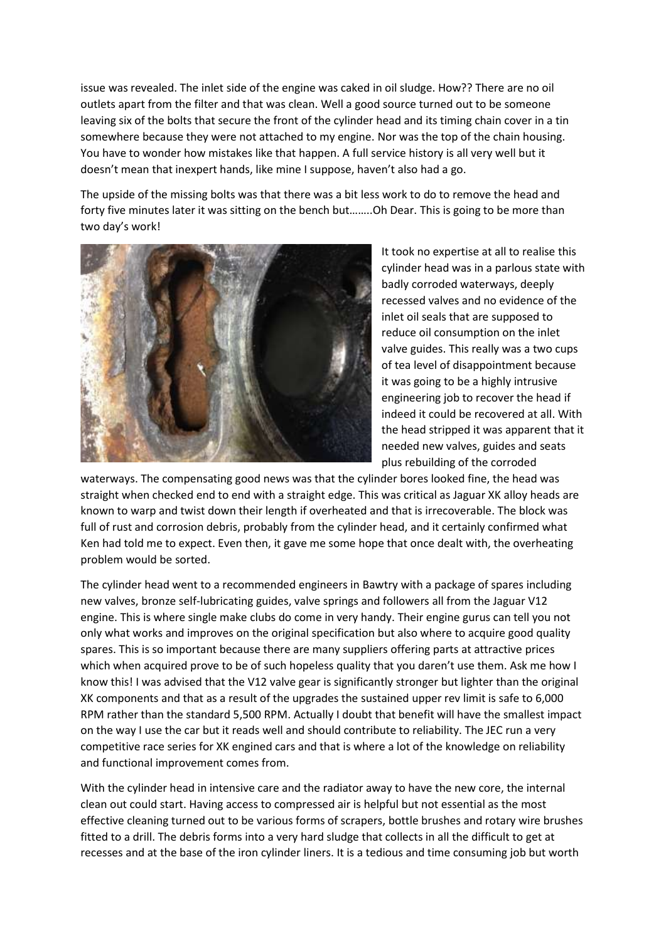issue was revealed. The inlet side of the engine was caked in oil sludge. How?? There are no oil outlets apart from the filter and that was clean. Well a good source turned out to be someone leaving six of the bolts that secure the front of the cylinder head and its timing chain cover in a tin somewhere because they were not attached to my engine. Nor was the top of the chain housing. You have to wonder how mistakes like that happen. A full service history is all very well but it doesn't mean that inexpert hands, like mine I suppose, haven't also had a go.

The upside of the missing bolts was that there was a bit less work to do to remove the head and forty five minutes later it was sitting on the bench but……..Oh Dear. This is going to be more than two day's work!



It took no expertise at all to realise this cylinder head was in a parlous state with badly corroded waterways, deeply recessed valves and no evidence of the inlet oil seals that are supposed to reduce oil consumption on the inlet valve guides. This really was a two cups of tea level of disappointment because it was going to be a highly intrusive engineering job to recover the head if indeed it could be recovered at all. With the head stripped it was apparent that it needed new valves, guides and seats plus rebuilding of the corroded

waterways. The compensating good news was that the cylinder bores looked fine, the head was straight when checked end to end with a straight edge. This was critical as Jaguar XK alloy heads are known to warp and twist down their length if overheated and that is irrecoverable. The block was full of rust and corrosion debris, probably from the cylinder head, and it certainly confirmed what Ken had told me to expect. Even then, it gave me some hope that once dealt with, the overheating problem would be sorted.

The cylinder head went to a recommended engineers in Bawtry with a package of spares including new valves, bronze self-lubricating guides, valve springs and followers all from the Jaguar V12 engine. This is where single make clubs do come in very handy. Their engine gurus can tell you not only what works and improves on the original specification but also where to acquire good quality spares. This is so important because there are many suppliers offering parts at attractive prices which when acquired prove to be of such hopeless quality that you daren't use them. Ask me how I know this! I was advised that the V12 valve gear is significantly stronger but lighter than the original XK components and that as a result of the upgrades the sustained upper rev limit is safe to 6,000 RPM rather than the standard 5,500 RPM. Actually I doubt that benefit will have the smallest impact on the way I use the car but it reads well and should contribute to reliability. The JEC run a very competitive race series for XK engined cars and that is where a lot of the knowledge on reliability and functional improvement comes from.

With the cylinder head in intensive care and the radiator away to have the new core, the internal clean out could start. Having access to compressed air is helpful but not essential as the most effective cleaning turned out to be various forms of scrapers, bottle brushes and rotary wire brushes fitted to a drill. The debris forms into a very hard sludge that collects in all the difficult to get at recesses and at the base of the iron cylinder liners. It is a tedious and time consuming job but worth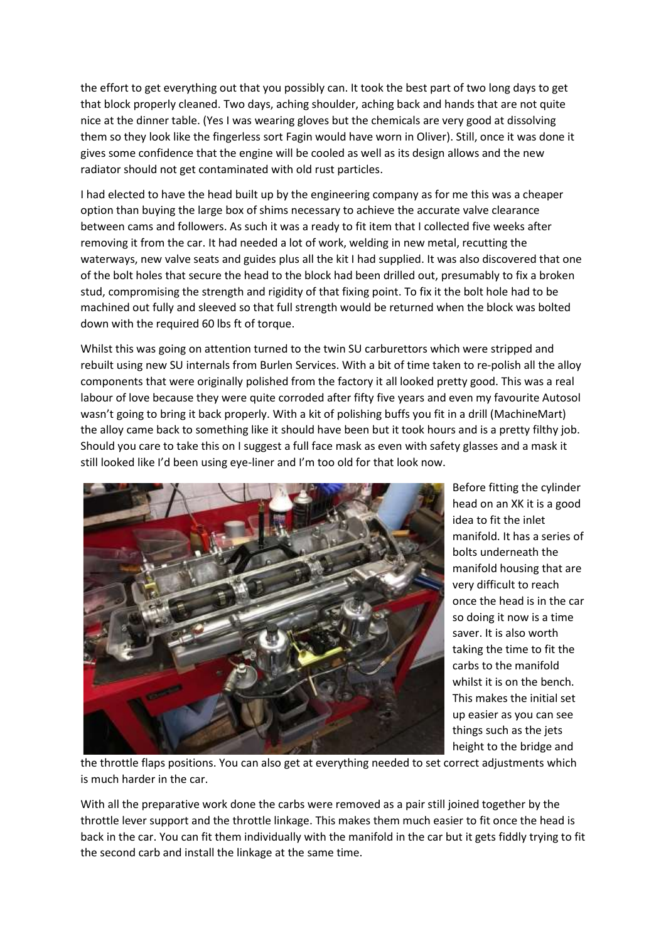the effort to get everything out that you possibly can. It took the best part of two long days to get that block properly cleaned. Two days, aching shoulder, aching back and hands that are not quite nice at the dinner table. (Yes I was wearing gloves but the chemicals are very good at dissolving them so they look like the fingerless sort Fagin would have worn in Oliver). Still, once it was done it gives some confidence that the engine will be cooled as well as its design allows and the new radiator should not get contaminated with old rust particles.

I had elected to have the head built up by the engineering company as for me this was a cheaper option than buying the large box of shims necessary to achieve the accurate valve clearance between cams and followers. As such it was a ready to fit item that I collected five weeks after removing it from the car. It had needed a lot of work, welding in new metal, recutting the waterways, new valve seats and guides plus all the kit I had supplied. It was also discovered that one of the bolt holes that secure the head to the block had been drilled out, presumably to fix a broken stud, compromising the strength and rigidity of that fixing point. To fix it the bolt hole had to be machined out fully and sleeved so that full strength would be returned when the block was bolted down with the required 60 lbs ft of torque.

Whilst this was going on attention turned to the twin SU carburettors which were stripped and rebuilt using new SU internals from Burlen Services. With a bit of time taken to re-polish all the alloy components that were originally polished from the factory it all looked pretty good. This was a real labour of love because they were quite corroded after fifty five years and even my favourite Autosol wasn't going to bring it back properly. With a kit of polishing buffs you fit in a drill (MachineMart) the alloy came back to something like it should have been but it took hours and is a pretty filthy job. Should you care to take this on I suggest a full face mask as even with safety glasses and a mask it still looked like I'd been using eye-liner and I'm too old for that look now.



Before fitting the cylinder head on an XK it is a good idea to fit the inlet manifold. It has a series of bolts underneath the manifold housing that are very difficult to reach once the head is in the car so doing it now is a time saver. It is also worth taking the time to fit the carbs to the manifold whilst it is on the bench. This makes the initial set up easier as you can see things such as the jets height to the bridge and

the throttle flaps positions. You can also get at everything needed to set correct adjustments which is much harder in the car.

With all the preparative work done the carbs were removed as a pair still joined together by the throttle lever support and the throttle linkage. This makes them much easier to fit once the head is back in the car. You can fit them individually with the manifold in the car but it gets fiddly trying to fit the second carb and install the linkage at the same time.